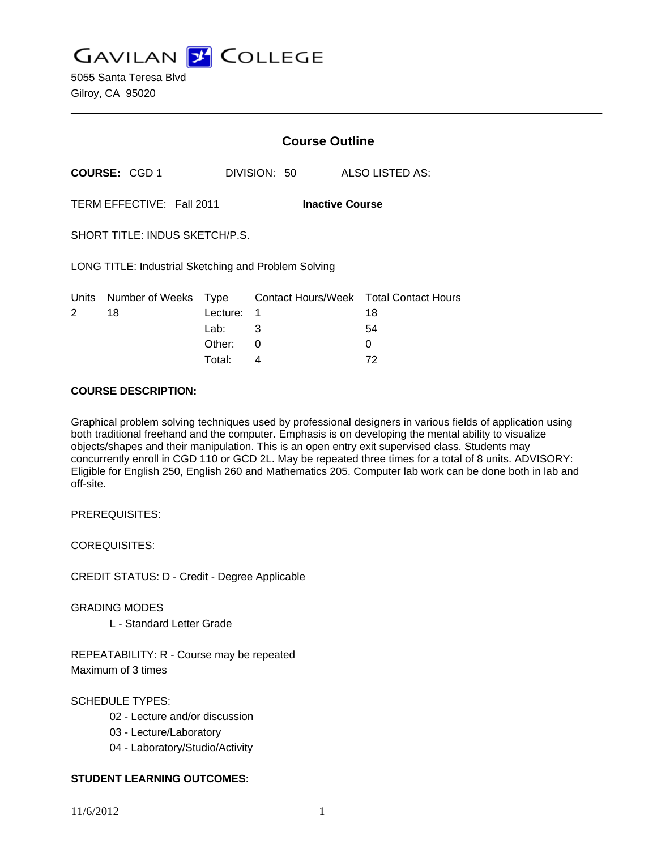**GAVILAN Z COLLEGE** 

5055 Santa Teresa Blvd Gilroy, CA 95020

|                                                      |                      | <b>Course Outline</b> |                                                    |  |
|------------------------------------------------------|----------------------|-----------------------|----------------------------------------------------|--|
| <b>COURSE: CGD 1</b>                                 |                      | DIVISION: 50          | ALSO LISTED AS:                                    |  |
| TERM EFFECTIVE: Fall 2011<br><b>Inactive Course</b>  |                      |                       |                                                    |  |
| SHORT TITLE: INDUS SKETCH/P.S.                       |                      |                       |                                                    |  |
| LONG TITLE: Industrial Sketching and Problem Solving |                      |                       |                                                    |  |
| Units Number of Weeks Type<br>18<br>$\mathcal{P}$    | Lecture:<br>Lab: ___ | 1<br>3                | Contact Hours/Week Total Contact Hours<br>18<br>54 |  |
|                                                      | Other:<br>Total:     | $\Omega$<br>4         | 0<br>72                                            |  |

#### **COURSE DESCRIPTION:**

Graphical problem solving techniques used by professional designers in various fields of application using both traditional freehand and the computer. Emphasis is on developing the mental ability to visualize objects/shapes and their manipulation. This is an open entry exit supervised class. Students may concurrently enroll in CGD 110 or GCD 2L. May be repeated three times for a total of 8 units. ADVISORY: Eligible for English 250, English 260 and Mathematics 205. Computer lab work can be done both in lab and off-site.

PREREQUISITES:

COREQUISITES:

CREDIT STATUS: D - Credit - Degree Applicable

GRADING MODES

L - Standard Letter Grade

REPEATABILITY: R - Course may be repeated Maximum of 3 times

SCHEDULE TYPES:

- 02 Lecture and/or discussion
- 03 Lecture/Laboratory
- 04 Laboratory/Studio/Activity

# **STUDENT LEARNING OUTCOMES:**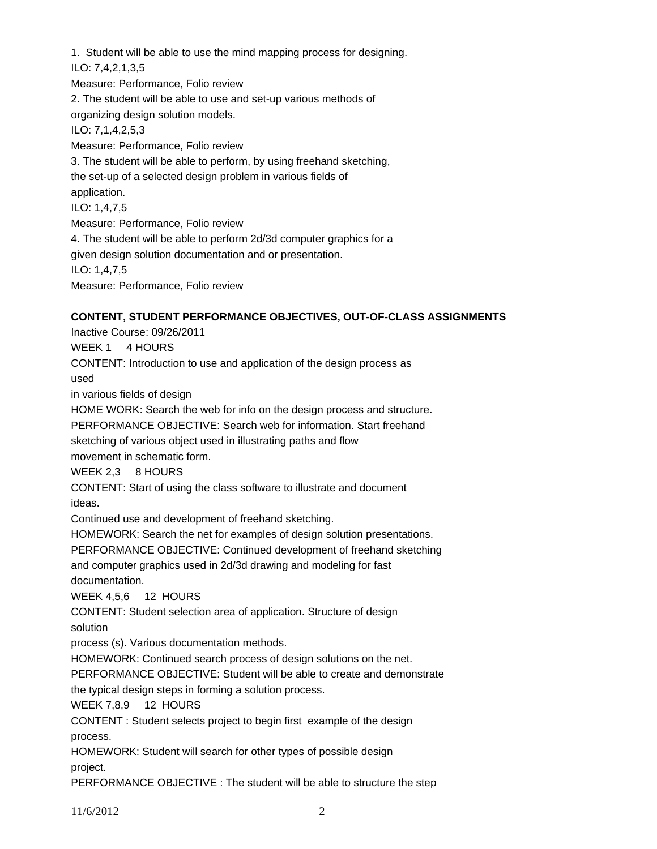1. Student will be able to use the mind mapping process for designing. ILO: 7,4,2,1,3,5 Measure: Performance, Folio review 2. The student will be able to use and set-up various methods of organizing design solution models. ILO: 7,1,4,2,5,3 Measure: Performance, Folio review 3. The student will be able to perform, by using freehand sketching, the set-up of a selected design problem in various fields of application. ILO: 1,4,7,5 Measure: Performance, Folio review 4. The student will be able to perform 2d/3d computer graphics for a given design solution documentation and or presentation. ILO: 1,4,7,5 Measure: Performance, Folio review

### **CONTENT, STUDENT PERFORMANCE OBJECTIVES, OUT-OF-CLASS ASSIGNMENTS**

Inactive Course: 09/26/2011 WEEK 1 4 HOURS CONTENT: Introduction to use and application of the design process as used in various fields of design HOME WORK: Search the web for info on the design process and structure. PERFORMANCE OBJECTIVE: Search web for information. Start freehand sketching of various object used in illustrating paths and flow movement in schematic form. WEEK 2,3 8 HOURS CONTENT: Start of using the class software to illustrate and document ideas. Continued use and development of freehand sketching. HOMEWORK: Search the net for examples of design solution presentations. PERFORMANCE OBJECTIVE: Continued development of freehand sketching and computer graphics used in 2d/3d drawing and modeling for fast documentation. WEEK 4,5,6 12 HOURS CONTENT: Student selection area of application. Structure of design solution process (s). Various documentation methods. HOMEWORK: Continued search process of design solutions on the net. PERFORMANCE OBJECTIVE: Student will be able to create and demonstrate the typical design steps in forming a solution process. WEEK 7,8,9 12 HOURS CONTENT : Student selects project to begin first example of the design process. HOMEWORK: Student will search for other types of possible design project. PERFORMANCE OBJECTIVE : The student will be able to structure the step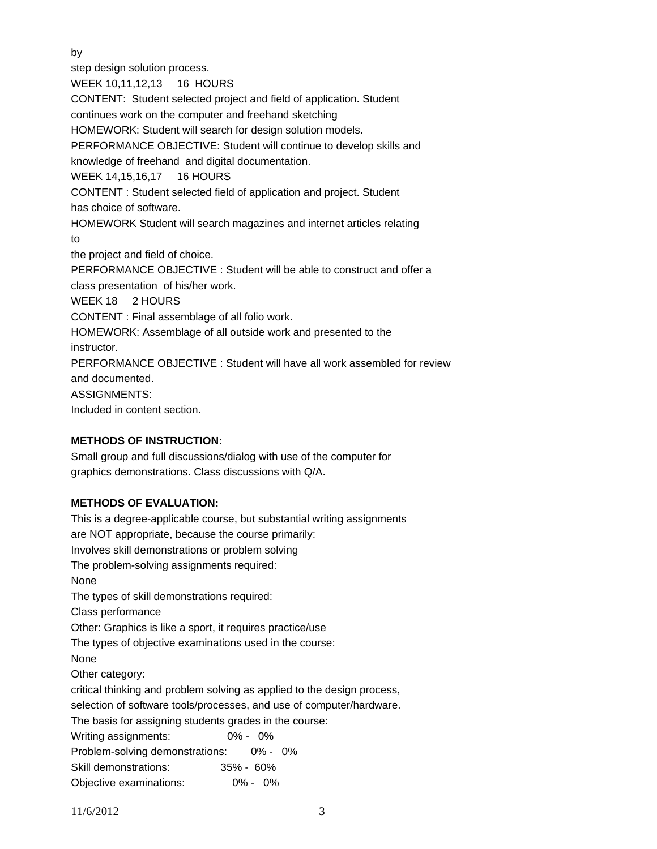by

step design solution process. WEEK 10,11,12,13 16 HOURS CONTENT: Student selected project and field of application. Student continues work on the computer and freehand sketching HOMEWORK: Student will search for design solution models. PERFORMANCE OBJECTIVE: Student will continue to develop skills and knowledge of freehand and digital documentation. WEEK 14,15,16,17 16 HOURS CONTENT : Student selected field of application and project. Student has choice of software. HOMEWORK Student will search magazines and internet articles relating to the project and field of choice. PERFORMANCE OBJECTIVE : Student will be able to construct and offer a class presentation of his/her work. WEEK 18 2 HOURS CONTENT : Final assemblage of all folio work. HOMEWORK: Assemblage of all outside work and presented to the instructor. PERFORMANCE OBJECTIVE : Student will have all work assembled for review and documented. ASSIGNMENTS: Included in content section.

# **METHODS OF INSTRUCTION:**

Small group and full discussions/dialog with use of the computer for graphics demonstrations. Class discussions with Q/A.

# **METHODS OF EVALUATION:**

This is a degree-applicable course, but substantial writing assignments are NOT appropriate, because the course primarily: Involves skill demonstrations or problem solving The problem-solving assignments required: None The types of skill demonstrations required: Class performance Other: Graphics is like a sport, it requires practice/use The types of objective examinations used in the course: None Other category: critical thinking and problem solving as applied to the design process, selection of software tools/processes, and use of computer/hardware. The basis for assigning students grades in the course: Writing assignments: 0% - 0% Problem-solving demonstrations: 0% - 0% Skill demonstrations: 35% - 60% Objective examinations: 0% - 0%